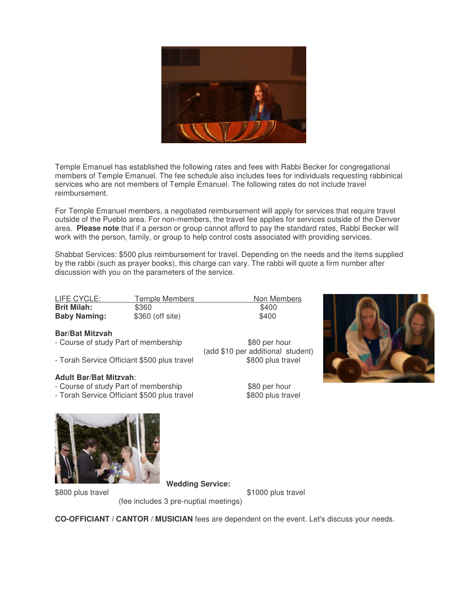

Temple Emanuel has established the following rates and fees with Rabbi Becker for congregational members of Temple Emanuel. The fee schedule also includes fees for individuals requesting rabbinical services who are not members of Temple Emanuel. The following rates do not include travel reimbursement.

For Temple Emanuel members, a negotiated reimbursement will apply for services that require travel outside of the Pueblo area. For non-members, the travel fee applies for services outside of the Denver area. **Please note** that if a person or group cannot afford to pay the standard rates, Rabbi Becker will work with the person, family, or group to help control costs associated with providing services.

Shabbat Services: \$500 plus reimbursement for travel. Depending on the needs and the items supplied by the rabbi (such as prayer books), this charge can vary. The rabbi will quote a firm number after discussion with you on the parameters of the service.

| LIFE CYCLE:         | Temple Members   | Non Members |
|---------------------|------------------|-------------|
| <b>Brit Milah:</b>  | \$360            | \$400       |
| <b>Baby Naming:</b> | \$360 (off site) | \$400       |

## **Bar/Bat Mitzvah**

- Course of study Part of membership \$80 per hour
- Torah Service Officiant \$500 plus travel \$800 plus travel

## **Adult Bar/Bat Mitzvah**:

- Course of study Part of membership \$80 per hour
- Torah Service Officiant \$500 plus travel \$800 plus travel



\$800 plus travel \$1000 plus travel

**Wedding Service:**

(fee includes 3 pre-nuptial meetings)

**CO-OFFICIANT / CANTOR / MUSICIAN** fees are dependent on the event. Let's discuss your needs.

(add \$10 per additional student)